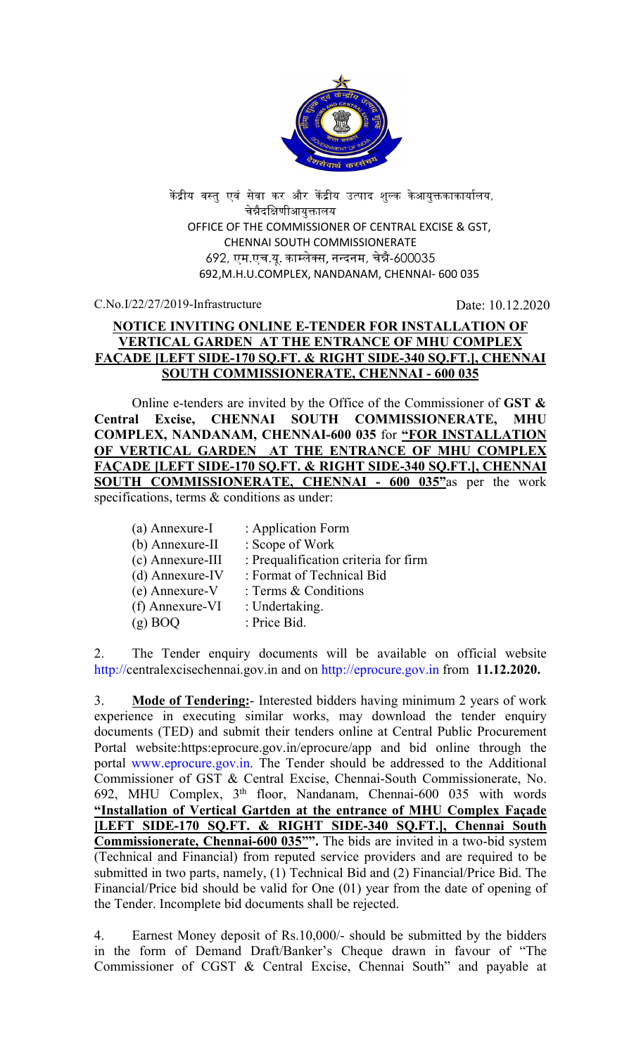

केंद्रीय वस्तु एवं सेवा कर और केंद्रीय उत्पाद शुल्क केआयुक्तकाकार्यालय, चेन्नैदक्षिणीआयुक्तालय OFFICE OF THE COMMISSIONER OF CENTRAL EXCISE & GST, CHENNAI SOUTH COMMISSIONERATE 692, एम.एच.यू. का᭥लेस, न᭠दनम, चे᳖ै-600035 692,M.H.U.COMPLEX, NANDANAM, CHENNAI- 600 035

C.No.I/22/27/2019-Infrastructure Date: 10.12.2020

# NOTICE INVITING ONLINE E-TENDER FOR INSTALLATION OF VERTICAL GARDEN AT THE ENTRANCE OF MHU COMPLEX FAÇADE [LEFT SIDE-170 SQ.FT. & RIGHT SIDE-340 SQ.FT.], CHENNAI SOUTH COMMISSIONERATE, CHENNAI - 600 035

Online e-tenders are invited by the Office of the Commissioner of GST  $\&$ Central Excise, CHENNAI SOUTH COMMISSIONERATE, MHU COMPLEX, NANDANAM, CHENNAI-600 035 for "FOR INSTALLATION OF VERTICAL GARDEN AT THE ENTRANCE OF MHU COMPLEX FAÇADE [LEFT SIDE-170 SQ.FT. & RIGHT SIDE-340 SQ.FT.], CHENNAI SOUTH COMMISSIONERATE, CHENNAI - 600 035"as per the work

specifications, terms & conditions as under:

| (a) Annexure-I     | : Application Form                   |
|--------------------|--------------------------------------|
| (b) Annexure-II    | : Scope of Work                      |
| $(c)$ Annexure-III | : Prequalification criteria for firm |
| $(d)$ Annexure-IV  | : Format of Technical Bid            |
| (e) Annexure-V     | : Terms & Conditions                 |
| (f) Annexure-VI    | : Undertaking.                       |
| $(g)$ BOO          | : Price Bid.                         |
|                    |                                      |

2. The Tender enquiry documents will be available on official website http://centralexcisechennai.gov.in and on http://eprocure.gov.in from 11.12.2020.

3. Mode of Tendering:- Interested bidders having minimum 2 years of work experience in executing similar works, may download the tender enquiry documents (TED) and submit their tenders online at Central Public Procurement Portal website:https:eprocure.gov.in/eprocure/app and bid online through the portal www.eprocure.gov.in. The Tender should be addressed to the Additional Commissioner of GST & Central Excise, Chennai-South Commissionerate, No. 692, MHU Complex, 3th floor, Nandanam, Chennai-600 035 with words "Installation of Vertical Gartden at the entrance of MHU Complex Façade [LEFT SIDE-170 SQ.FT. & RIGHT SIDE-340 SQ.FT.], Chennai South Commissionerate, Chennai-600 035"". The bids are invited in a two-bid system (Technical and Financial) from reputed service providers and are required to be submitted in two parts, namely, (1) Technical Bid and (2) Financial/Price Bid. The Financial/Price bid should be valid for One (01) year from the date of opening of the Tender. Incomplete bid documents shall be rejected.

4. Earnest Money deposit of Rs.10,000/- should be submitted by the bidders in the form of Demand Draft/Banker's Cheque drawn in favour of "The Commissioner of CGST & Central Excise, Chennai South" and payable at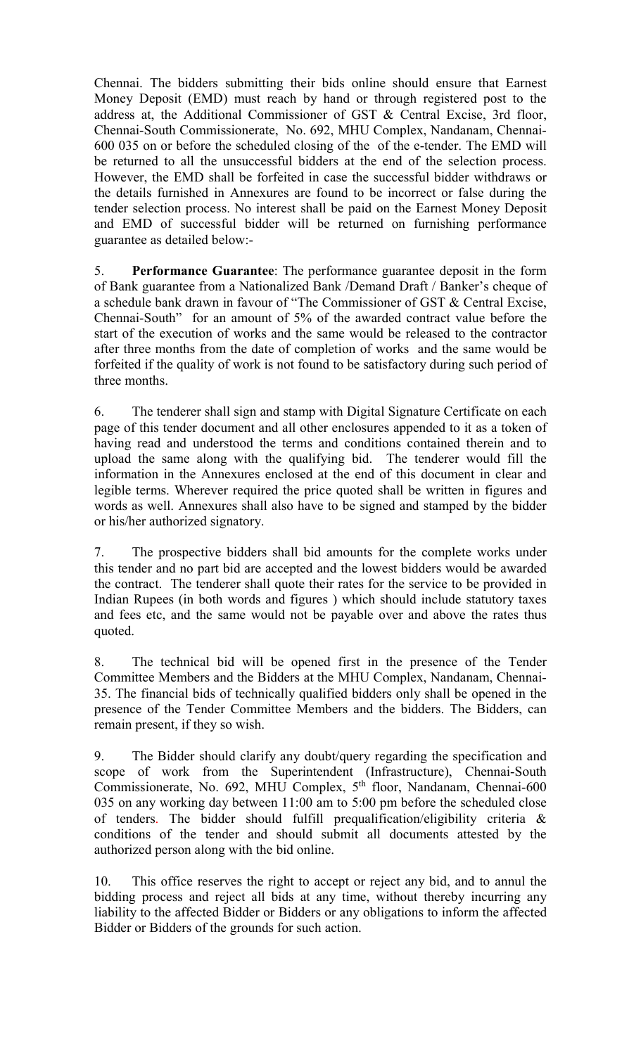Chennai. The bidders submitting their bids online should ensure that Earnest Money Deposit (EMD) must reach by hand or through registered post to the address at, the Additional Commissioner of GST & Central Excise, 3rd floor, Chennai-South Commissionerate, No. 692, MHU Complex, Nandanam, Chennai-600 035 on or before the scheduled closing of the of the e-tender. The EMD will be returned to all the unsuccessful bidders at the end of the selection process. However, the EMD shall be forfeited in case the successful bidder withdraws or the details furnished in Annexures are found to be incorrect or false during the tender selection process. No interest shall be paid on the Earnest Money Deposit and EMD of successful bidder will be returned on furnishing performance guarantee as detailed below:-

5. Performance Guarantee: The performance guarantee deposit in the form of Bank guarantee from a Nationalized Bank /Demand Draft / Banker's cheque of a schedule bank drawn in favour of "The Commissioner of GST & Central Excise, Chennai-South" for an amount of 5% of the awarded contract value before the start of the execution of works and the same would be released to the contractor after three months from the date of completion of works and the same would be forfeited if the quality of work is not found to be satisfactory during such period of three months.

6. The tenderer shall sign and stamp with Digital Signature Certificate on each page of this tender document and all other enclosures appended to it as a token of having read and understood the terms and conditions contained therein and to upload the same along with the qualifying bid. The tenderer would fill the information in the Annexures enclosed at the end of this document in clear and legible terms. Wherever required the price quoted shall be written in figures and words as well. Annexures shall also have to be signed and stamped by the bidder or his/her authorized signatory.

7. The prospective bidders shall bid amounts for the complete works under this tender and no part bid are accepted and the lowest bidders would be awarded the contract. The tenderer shall quote their rates for the service to be provided in Indian Rupees (in both words and figures ) which should include statutory taxes and fees etc, and the same would not be payable over and above the rates thus quoted.

8. The technical bid will be opened first in the presence of the Tender Committee Members and the Bidders at the MHU Complex, Nandanam, Chennai-35. The financial bids of technically qualified bidders only shall be opened in the presence of the Tender Committee Members and the bidders. The Bidders, can remain present, if they so wish.

9. The Bidder should clarify any doubt/query regarding the specification and scope of work from the Superintendent (Infrastructure), Chennai-South Commissionerate, No. 692, MHU Complex, 5th floor, Nandanam, Chennai-600 035 on any working day between 11:00 am to 5:00 pm before the scheduled close of tenders. The bidder should fulfill prequalification/eligibility criteria & conditions of the tender and should submit all documents attested by the authorized person along with the bid online.

10. This office reserves the right to accept or reject any bid, and to annul the bidding process and reject all bids at any time, without thereby incurring any liability to the affected Bidder or Bidders or any obligations to inform the affected Bidder or Bidders of the grounds for such action.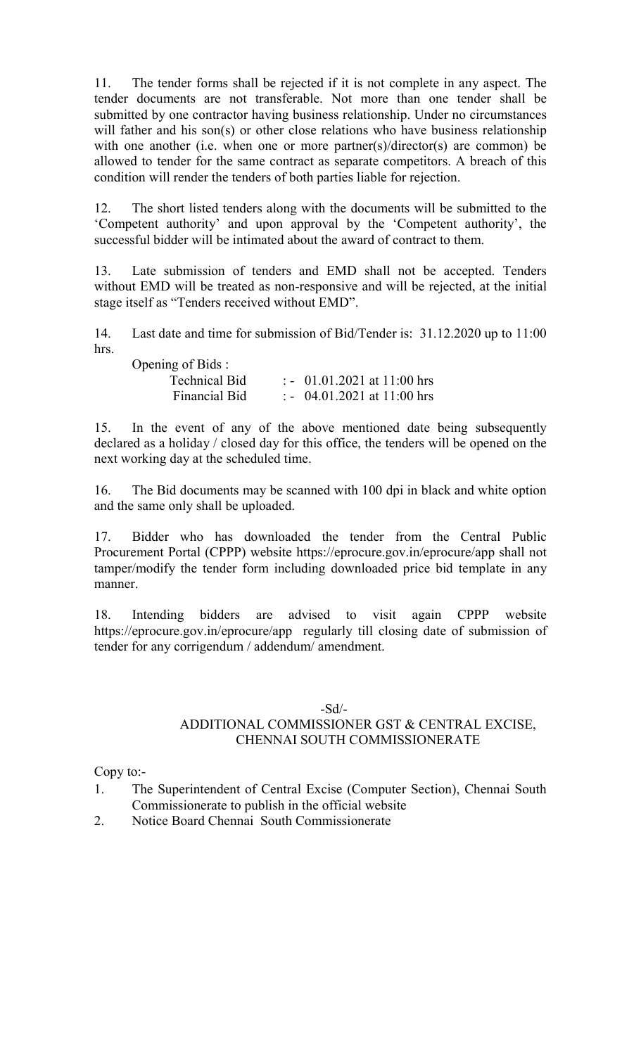11. The tender forms shall be rejected if it is not complete in any aspect. The tender documents are not transferable. Not more than one tender shall be submitted by one contractor having business relationship. Under no circumstances will father and his son(s) or other close relations who have business relationship with one another (i.e. when one or more partner(s)/director(s) are common) be allowed to tender for the same contract as separate competitors. A breach of this condition will render the tenders of both parties liable for rejection.

12. The short listed tenders along with the documents will be submitted to the 'Competent authority' and upon approval by the 'Competent authority', the successful bidder will be intimated about the award of contract to them.

13. Late submission of tenders and EMD shall not be accepted. Tenders without EMD will be treated as non-responsive and will be rejected, at the initial stage itself as "Tenders received without EMD".

14. Last date and time for submission of Bid/Tender is: 31.12.2020 up to 11:00 hrs.

| Opening of Bids :    |                                      |
|----------------------|--------------------------------------|
| <b>Technical Bid</b> | $\therefore$ 01.01.2021 at 11:00 hrs |
| Financial Bid        | $\therefore$ 04.01.2021 at 11:00 hrs |

15. In the event of any of the above mentioned date being subsequently declared as a holiday / closed day for this office, the tenders will be opened on the next working day at the scheduled time.

16. The Bid documents may be scanned with 100 dpi in black and white option and the same only shall be uploaded.

17. Bidder who has downloaded the tender from the Central Public Procurement Portal (CPPP) website https://eprocure.gov.in/eprocure/app shall not tamper/modify the tender form including downloaded price bid template in any manner.

18. Intending bidders are advised to visit again CPPP website https://eprocure.gov.in/eprocure/app regularly till closing date of submission of tender for any corrigendum / addendum/ amendment.

#### -Sd/-

## ADDITIONAL COMMISSIONER GST & CENTRAL EXCISE, CHENNAI SOUTH COMMISSIONERATE

Copy to:-

- 1. The Superintendent of Central Excise (Computer Section), Chennai South Commissionerate to publish in the official website
- 2. Notice Board Chennai South Commissionerate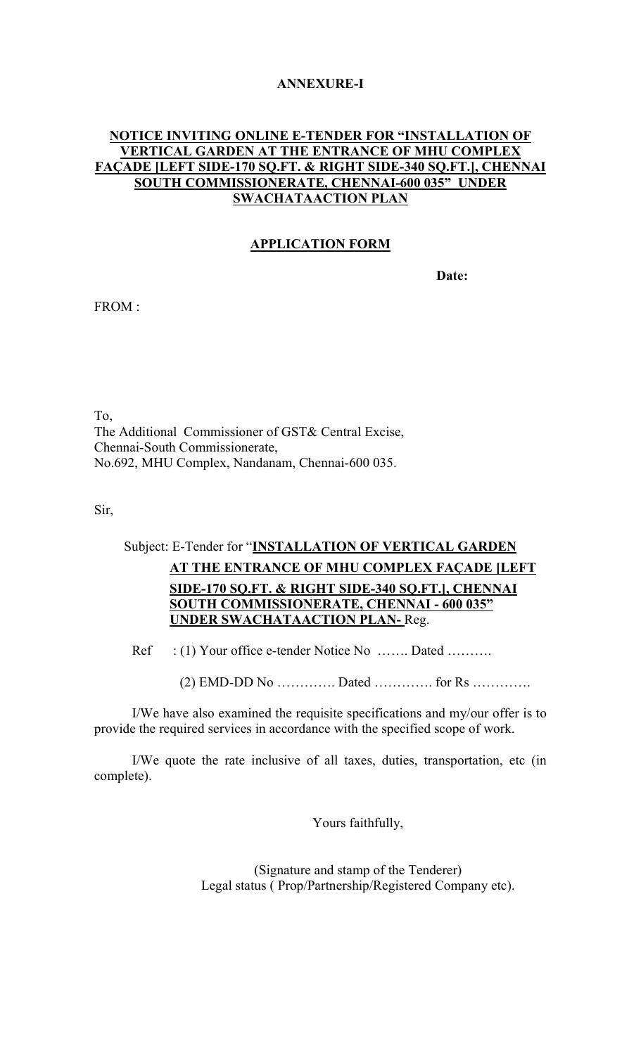#### ANNEXURE-I

#### NOTICE INVITING ONLINE E-TENDER FOR "INSTALLATION OF VERTICAL GARDEN AT THE ENTRANCE OF MHU COMPLEX FAÇADE [LEFT SIDE-170 SQ.FT. & RIGHT SIDE-340 SQ.FT.], CHENNAI SOUTH COMMISSIONERATE, CHENNAI-600 035" UNDER SWACHATAACTION PLAN

#### APPLICATION FORM

Date:

FROM :

To, The Additional Commissioner of GST& Central Excise, Chennai-South Commissionerate, No.692, MHU Complex, Nandanam, Chennai-600 035.

Sir,

# Subject: E-Tender for "INSTALLATION OF VERTICAL GARDEN AT THE ENTRANCE OF MHU COMPLEX FAÇADE [LEFT SIDE-170 SQ.FT. & RIGHT SIDE-340 SQ.FT.], CHENNAI SOUTH COMMISSIONERATE, CHENNAI - 600 035" UNDER SWACHATAACTION PLAN- Reg.

Ref : (1) Your office e-tender Notice No ……. Dated ……….

 $(2)$  EMD-DD No  $\dots\dots\dots\dots$  Dated  $\dots\dots\dots\dots$  for Rs  $\dots\dots\dots\dots\dots$ 

 I/We have also examined the requisite specifications and my/our offer is to provide the required services in accordance with the specified scope of work.

I/We quote the rate inclusive of all taxes, duties, transportation, etc (in complete).

Yours faithfully,

(Signature and stamp of the Tenderer) Legal status ( Prop/Partnership/Registered Company etc).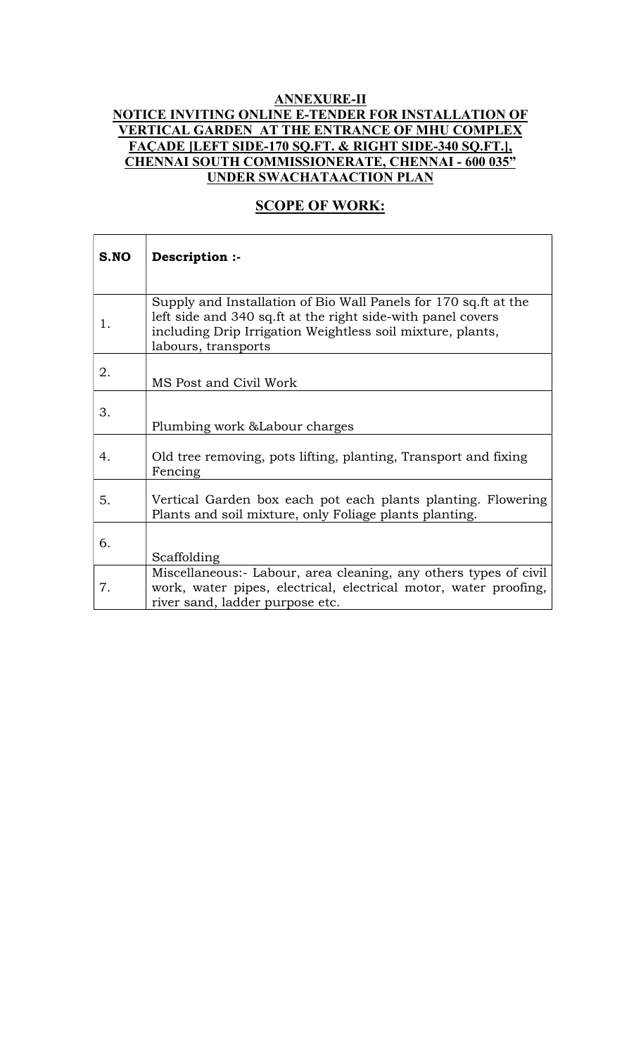## ANNEXURE-II NOTICE INVITING ONLINE E-TENDER FOR INSTALLATION OF VERTICAL GARDEN AT THE ENTRANCE OF MHU COMPLEX FAÇADE [LEFT SIDE-170 SQ.FT. & RIGHT SIDE-340 SQ.FT.], CHENNAI SOUTH COMMISSIONERATE, CHENNAI - 600 035" UNDER SWACHATAACTION PLAN

# **SCOPE OF WORK:**

| S.NO | Description :-                                                                                                                                                                                                       |
|------|----------------------------------------------------------------------------------------------------------------------------------------------------------------------------------------------------------------------|
|      |                                                                                                                                                                                                                      |
| 1.   | Supply and Installation of Bio Wall Panels for 170 sq.ft at the<br>left side and 340 sq. ft at the right side-with panel covers<br>including Drip Irrigation Weightless soil mixture, plants,<br>labours, transports |
| 2.   | MS Post and Civil Work                                                                                                                                                                                               |
| 3.   | Plumbing work & Labour charges                                                                                                                                                                                       |
| 4.   | Old tree removing, pots lifting, planting, Transport and fixing<br>Fencing                                                                                                                                           |
| 5.   | Vertical Garden box each pot each plants planting. Flowering<br>Plants and soil mixture, only Foliage plants planting.                                                                                               |
| 6.   | Scaffolding                                                                                                                                                                                                          |
| 7.   | Miscellaneous:- Labour, area cleaning, any others types of civil<br>work, water pipes, electrical, electrical motor, water proofing,<br>river sand, ladder purpose etc.                                              |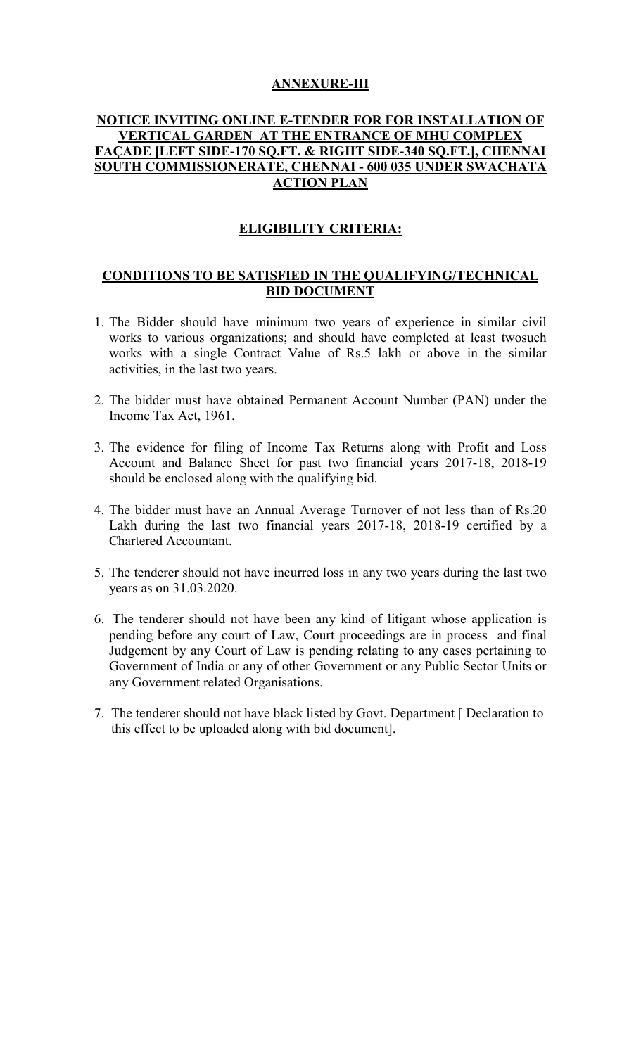#### ANNEXURE-III

#### NOTICE INVITING ONLINE E-TENDER FOR FOR INSTALLATION OF VERTICAL GARDEN AT THE ENTRANCE OF MHU COMPLEX FAÇADE [LEFT SIDE-170 SQ.FT. & RIGHT SIDE-340 SQ.FT.], CHENNAI SOUTH COMMISSIONERATE, CHENNAI - 600 035 UNDER SWACHATA ACTION PLAN

# ELIGIBILITY CRITERIA:

### CONDITIONS TO BE SATISFIED IN THE QUALIFYING/TECHNICAL BID DOCUMENT

- 1. The Bidder should have minimum two years of experience in similar civil works to various organizations; and should have completed at least twosuch works with a single Contract Value of Rs.5 lakh or above in the similar activities, in the last two years.
- 2. The bidder must have obtained Permanent Account Number (PAN) under the Income Tax Act, 1961.
- 3. The evidence for filing of Income Tax Returns along with Profit and Loss Account and Balance Sheet for past two financial years 2017-18, 2018-19 should be enclosed along with the qualifying bid.
- 4. The bidder must have an Annual Average Turnover of not less than of Rs.20 Lakh during the last two financial years 2017-18, 2018-19 certified by a Chartered Accountant.
- 5. The tenderer should not have incurred loss in any two years during the last two years as on 31.03.2020.
- 6. The tenderer should not have been any kind of litigant whose application is pending before any court of Law, Court proceedings are in process and final Judgement by any Court of Law is pending relating to any cases pertaining to Government of India or any of other Government or any Public Sector Units or any Government related Organisations.
- 7. The tenderer should not have black listed by Govt. Department [ Declaration to this effect to be uploaded along with bid document].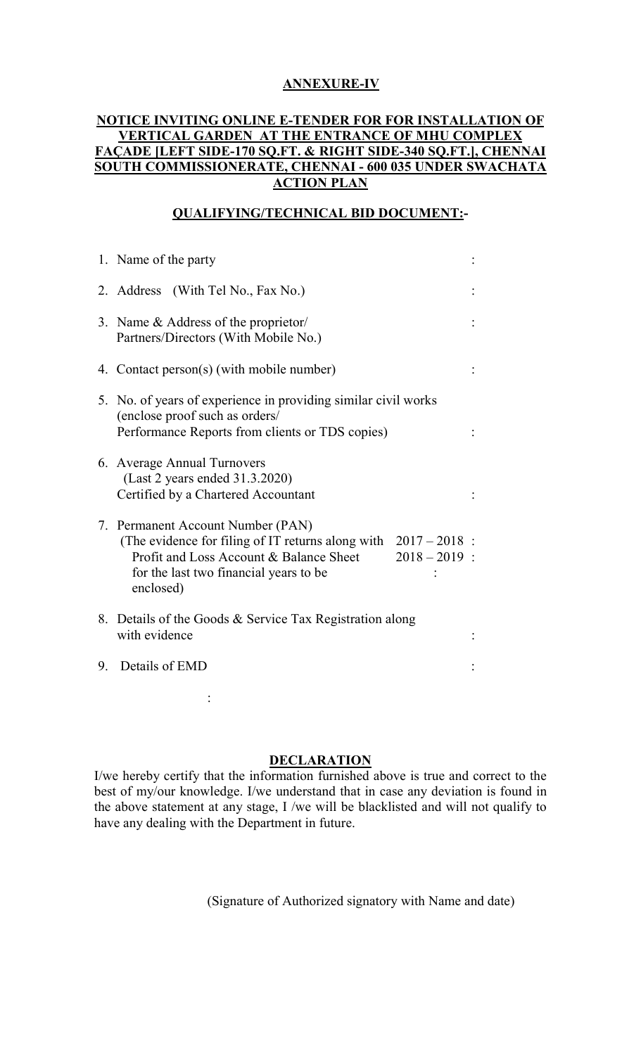## ANNEXURE-IV

#### NOTICE INVITING ONLINE E-TENDER FOR FOR INSTALLATION OF VERTICAL GARDEN AT THE ENTRANCE OF MHU COMPLEX FAÇADE [LEFT SIDE-170 SQ.FT. & RIGHT SIDE-340 SQ.FT.], CHENNAI SOUTH COMMISSIONERATE, CHENNAI - 600 035 UNDER SWACHATA ACTION PLAN

# QUALIFYING/TECHNICAL BID DOCUMENT:-

|    | 1. Name of the party                                                                                                                                                                                                        |  |
|----|-----------------------------------------------------------------------------------------------------------------------------------------------------------------------------------------------------------------------------|--|
|    | 2. Address (With Tel No., Fax No.)                                                                                                                                                                                          |  |
|    | 3. Name & Address of the proprietor/<br>Partners/Directors (With Mobile No.)                                                                                                                                                |  |
|    | 4. Contact person(s) (with mobile number)                                                                                                                                                                                   |  |
|    | 5. No. of years of experience in providing similar civil works<br>(enclose proof such as orders/<br>Performance Reports from clients or TDS copies)                                                                         |  |
|    | 6. Average Annual Turnovers<br>(Last 2 years ended 31.3.2020)<br>Certified by a Chartered Accountant                                                                                                                        |  |
|    | 7. Permanent Account Number (PAN)<br>(The evidence for filing of IT returns along with $2017 - 2018$ :<br>Profit and Loss Account & Balance Sheet<br>$2018 - 2019$ :<br>for the last two financial years to be<br>enclosed) |  |
|    | 8. Details of the Goods & Service Tax Registration along<br>with evidence                                                                                                                                                   |  |
| 9. | Details of EMD                                                                                                                                                                                                              |  |
|    |                                                                                                                                                                                                                             |  |

#### **DECLARATION**

I/we hereby certify that the information furnished above is true and correct to the best of my/our knowledge. I/we understand that in case any deviation is found in the above statement at any stage, I /we will be blacklisted and will not qualify to have any dealing with the Department in future.

(Signature of Authorized signatory with Name and date)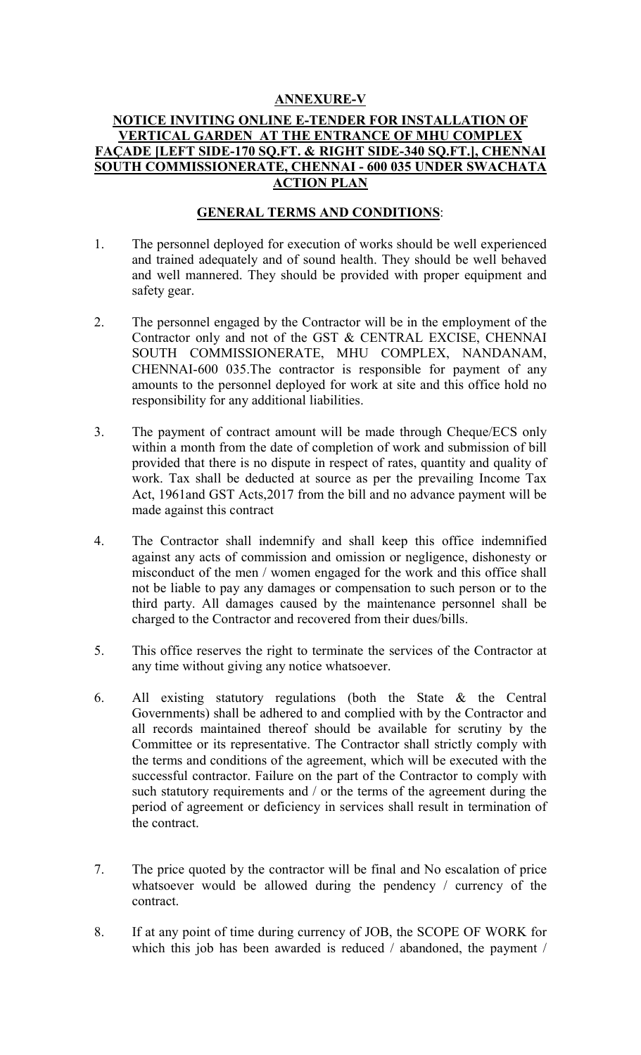## ANNEXURE-V

#### NOTICE INVITING ONLINE E-TENDER FOR INSTALLATION OF VERTICAL GARDEN AT THE ENTRANCE OF MHU COMPLEX FAÇADE [LEFT SIDE-170 SQ.FT. & RIGHT SIDE-340 SQ.FT.], CHENNAI SOUTH COMMISSIONERATE, CHENNAI - 600 035 UNDER SWACHATA ACTION PLAN

### GENERAL TERMS AND CONDITIONS:

- 1. The personnel deployed for execution of works should be well experienced and trained adequately and of sound health. They should be well behaved and well mannered. They should be provided with proper equipment and safety gear.
- 2. The personnel engaged by the Contractor will be in the employment of the Contractor only and not of the GST & CENTRAL EXCISE, CHENNAI SOUTH COMMISSIONERATE, MHU COMPLEX, NANDANAM, CHENNAI-600 035.The contractor is responsible for payment of any amounts to the personnel deployed for work at site and this office hold no responsibility for any additional liabilities.
- 3. The payment of contract amount will be made through Cheque/ECS only within a month from the date of completion of work and submission of bill provided that there is no dispute in respect of rates, quantity and quality of work. Tax shall be deducted at source as per the prevailing Income Tax Act, 1961and GST Acts,2017 from the bill and no advance payment will be made against this contract
- 4. The Contractor shall indemnify and shall keep this office indemnified against any acts of commission and omission or negligence, dishonesty or misconduct of the men / women engaged for the work and this office shall not be liable to pay any damages or compensation to such person or to the third party. All damages caused by the maintenance personnel shall be charged to the Contractor and recovered from their dues/bills.
- 5. This office reserves the right to terminate the services of the Contractor at any time without giving any notice whatsoever.
- 6. All existing statutory regulations (both the State & the Central Governments) shall be adhered to and complied with by the Contractor and all records maintained thereof should be available for scrutiny by the Committee or its representative. The Contractor shall strictly comply with the terms and conditions of the agreement, which will be executed with the successful contractor. Failure on the part of the Contractor to comply with such statutory requirements and / or the terms of the agreement during the period of agreement or deficiency in services shall result in termination of the contract.
- 7. The price quoted by the contractor will be final and No escalation of price whatsoever would be allowed during the pendency / currency of the contract.
- 8. If at any point of time during currency of JOB, the SCOPE OF WORK for which this job has been awarded is reduced / abandoned, the payment /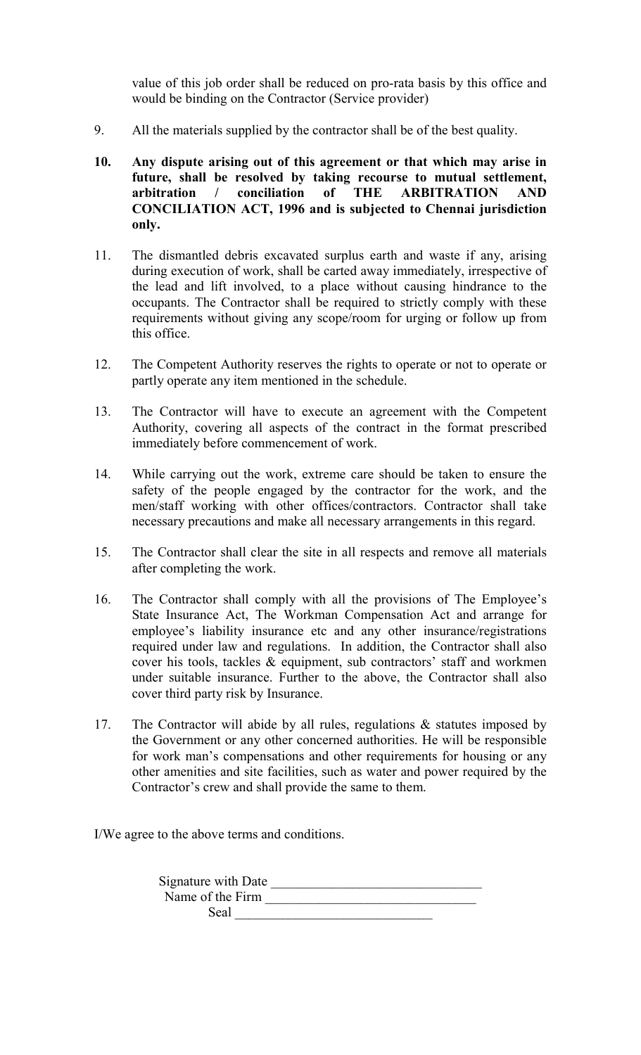value of this job order shall be reduced on pro-rata basis by this office and would be binding on the Contractor (Service provider)

- 9. All the materials supplied by the contractor shall be of the best quality.
- 10. Any dispute arising out of this agreement or that which may arise in future, shall be resolved by taking recourse to mutual settlement, arbitration / conciliation of THE ARBITRATION AND CONCILIATION ACT, 1996 and is subjected to Chennai jurisdiction only.
- 11. The dismantled debris excavated surplus earth and waste if any, arising during execution of work, shall be carted away immediately, irrespective of the lead and lift involved, to a place without causing hindrance to the occupants. The Contractor shall be required to strictly comply with these requirements without giving any scope/room for urging or follow up from this office.
- 12. The Competent Authority reserves the rights to operate or not to operate or partly operate any item mentioned in the schedule.
- 13. The Contractor will have to execute an agreement with the Competent Authority, covering all aspects of the contract in the format prescribed immediately before commencement of work.
- 14. While carrying out the work, extreme care should be taken to ensure the safety of the people engaged by the contractor for the work, and the men/staff working with other offices/contractors. Contractor shall take necessary precautions and make all necessary arrangements in this regard.
- 15. The Contractor shall clear the site in all respects and remove all materials after completing the work.
- 16. The Contractor shall comply with all the provisions of The Employee's State Insurance Act, The Workman Compensation Act and arrange for employee's liability insurance etc and any other insurance/registrations required under law and regulations. In addition, the Contractor shall also cover his tools, tackles & equipment, sub contractors' staff and workmen under suitable insurance. Further to the above, the Contractor shall also cover third party risk by Insurance.
- 17. The Contractor will abide by all rules, regulations & statutes imposed by the Government or any other concerned authorities. He will be responsible for work man's compensations and other requirements for housing or any other amenities and site facilities, such as water and power required by the Contractor's crew and shall provide the same to them.

I/We agree to the above terms and conditions.

| Signature with Date |  |
|---------------------|--|
| Name of the Firm    |  |
| Seal                |  |